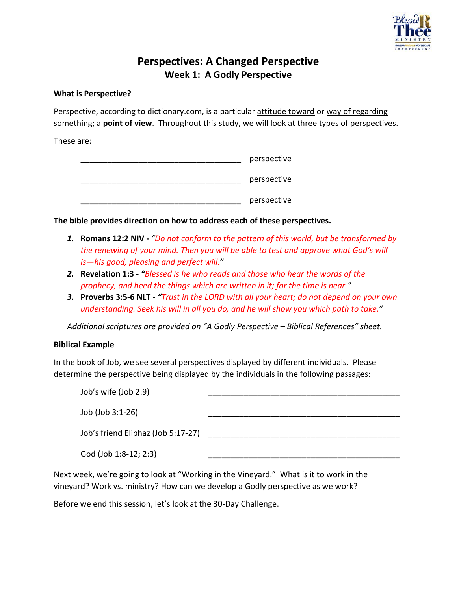

## **Perspectives: A Changed Perspective Week 1: A Godly Perspective**

#### **What is Perspective?**

Perspective, according to dictionary.com, is a particular attitude toward or way of regarding something; a **point of view**. Throughout this study, we will look at three types of perspectives.

These are:

| perspective |  |
|-------------|--|
| perspective |  |
| perspective |  |

**The bible provides direction on how to address each of these perspectives.**

- *1.* **Romans 12:2 NIV -** *"Do not conform to the pattern of this world, but be transformed by the renewing of your mind. Then you will be able to test and approve what God's will is—his good, pleasing and perfect will."*
- *2.* **Revelation 1:3 -** *"Blessed is he who reads and those who hear the words of the prophecy, and heed the things which are written in it; for the time is near."*
- *3.* **Proverbs 3:5-6 NLT -** *"Trust in the LORD with all your heart; do not depend on your own understanding. Seek his will in all you do, and he will show you which path to take."*

*Additional scriptures are provided on "A Godly Perspective – Biblical References" sheet.*

#### **Biblical Example**

In the book of Job, we see several perspectives displayed by different individuals. Please determine the perspective being displayed by the individuals in the following passages:

| Job's wife (Job 2:9)               |  |
|------------------------------------|--|
| Job (Job 3:1-26)                   |  |
| Job's friend Eliphaz (Job 5:17-27) |  |
| God (Job 1:8-12; 2:3)              |  |

Next week, we're going to look at "Working in the Vineyard." What is it to work in the vineyard? Work vs. ministry? How can we develop a Godly perspective as we work?

Before we end this session, let's look at the 30-Day Challenge.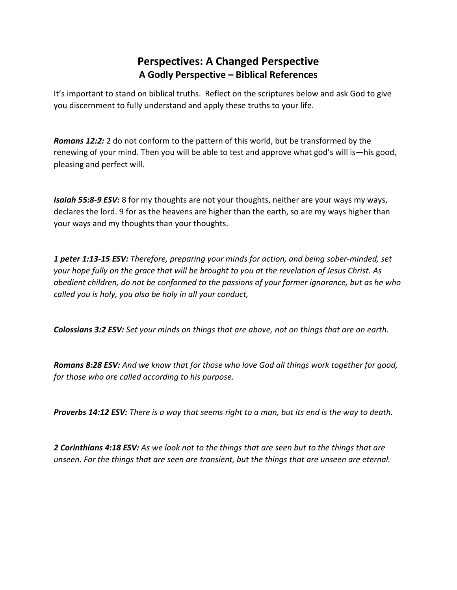## **Perspectives: A Changed Perspective A Godly Perspective – Biblical References**

It's important to stand on biblical truths. Reflect on the scriptures below and ask God to give you discernment to fully understand and apply these truths to your life.

*Romans 12:2:* 2 do not conform to the pattern of this world, but be transformed by the renewing of your mind. Then you will be able to test and approve what god's will is—his good, pleasing and perfect will.

*Isaiah 55:8-9 ESV:* 8 for my thoughts are not your thoughts, neither are your ways my ways, declares the lord. 9 for as the heavens are higher than the earth, so are my ways higher than your ways and my thoughts than your thoughts.

*1 peter 1:13-15 ESV: Therefore, preparing your minds for action, and being sober-minded, set your hope fully on the grace that will be brought to you at the revelation of Jesus Christ. As obedient children, do not be conformed to the passions of your former ignorance, but as he who called you is holy, you also be holy in all your conduct,*

*Colossians 3:2 ESV: Set your minds on things that are above, not on things that are on earth.*

*Romans 8:28 ESV: And we know that for those who love God all things work together for good, for those who are called according to his purpose.*

*Proverbs 14:12 ESV: There is a way that seems right to a man, but its end is the way to death.*

*2 Corinthians 4:18 ESV: As we look not to the things that are seen but to the things that are unseen. For the things that are seen are transient, but the things that are unseen are eternal.*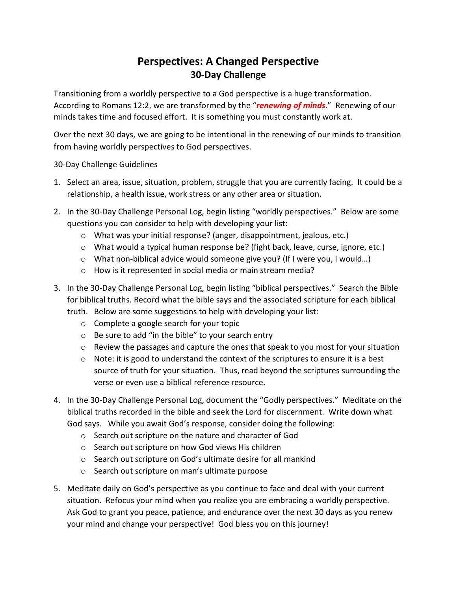# **Perspectives: A Changed Perspective 30-Day Challenge**

Transitioning from a worldly perspective to a God perspective is a huge transformation. According to Romans 12:2, we are transformed by the "*renewing of minds*." Renewing of our minds takes time and focused effort. It is something you must constantly work at.

Over the next 30 days, we are going to be intentional in the renewing of our minds to transition from having worldly perspectives to God perspectives.

30-Day Challenge Guidelines

- 1. Select an area, issue, situation, problem, struggle that you are currently facing. It could be a relationship, a health issue, work stress or any other area or situation.
- 2. In the 30-Day Challenge Personal Log, begin listing "worldly perspectives." Below are some questions you can consider to help with developing your list:
	- o What was your initial response? (anger, disappointment, jealous, etc.)
	- $\circ$  What would a typical human response be? (fight back, leave, curse, ignore, etc.)
	- $\circ$  What non-biblical advice would someone give you? (If I were you, I would...)
	- o How is it represented in social media or main stream media?
- 3. In the 30-Day Challenge Personal Log, begin listing "biblical perspectives." Search the Bible for biblical truths. Record what the bible says and the associated scripture for each biblical truth. Below are some suggestions to help with developing your list:
	- o Complete a google search for your topic
	- o Be sure to add "in the bible" to your search entry
	- o Review the passages and capture the ones that speak to you most for your situation
	- o Note: it is good to understand the context of the scriptures to ensure it is a best source of truth for your situation. Thus, read beyond the scriptures surrounding the verse or even use a biblical reference resource.
- 4. In the 30-Day Challenge Personal Log, document the "Godly perspectives." Meditate on the biblical truths recorded in the bible and seek the Lord for discernment. Write down what God says. While you await God's response, consider doing the following:
	- o Search out scripture on the nature and character of God
	- o Search out scripture on how God views His children
	- o Search out scripture on God's ultimate desire for all mankind
	- o Search out scripture on man's ultimate purpose
- 5. Meditate daily on God's perspective as you continue to face and deal with your current situation. Refocus your mind when you realize you are embracing a worldly perspective. Ask God to grant you peace, patience, and endurance over the next 30 days as you renew your mind and change your perspective! God bless you on this journey!